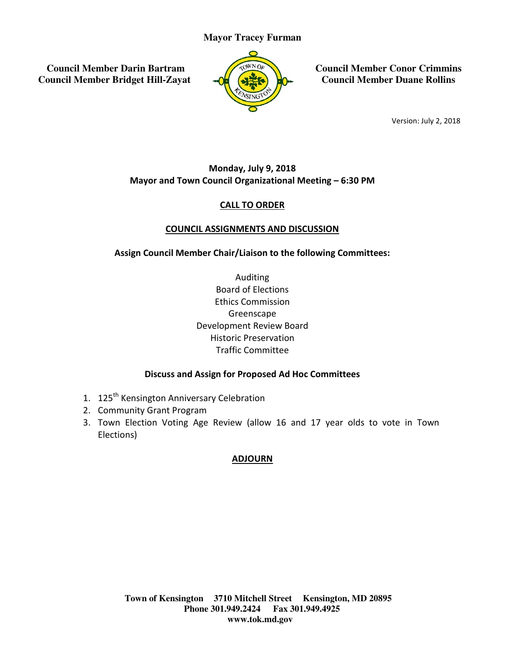#### **Mayor Tracey Furman**

 **Council Member Darin Bartram Council Member Bridget Hill-Zayat**



**Zayat**  $\begin{pmatrix} \sqrt{2}a^{N} & a^{N} \\ a^{N} & a^{N} \\ a^{N} & a^{N} \end{pmatrix}$  Council Member Conor Crimmins<br> **Council Member Duane Rollins Council Member Duane Rollins**

Version: July 2, 2018

#### Mayor and Town Council Organizational Meeting - 6:30 PM Monday, July 9, 2018

#### CALL TO ORDER

#### COUNCIL ASSIGNMENTS COUNCIL ASSIGNMENTS AND DISCUSSION

Assign Council Member Chair/Liaison to the following Committees:

Auditing Board of Elections Ethics Commission Greenscape Development Review Board Historic Preservation Traffic Committee

#### Discuss and Assign for Proposed Ad Hoc Committees

- 1. 125<sup>th</sup> Kensington Anniversary Celebration
- 2. Community Grant Program
- 3. Town Election Voting Age Review (allow 16 and 17 year olds to vote in Town Elections)

#### ADJOURN

**Town of Kensington Kensington 3710 Mitchell Street Kensington, MD 20895 Phone 301.949.2424 301.949.2424 Fax 301.949.4925 www.tok.md.gov**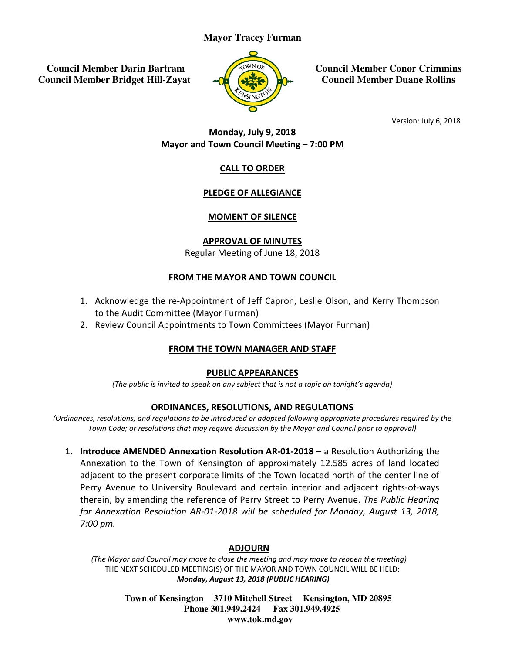#### **Mayor Tracey Furman**

 **Council Member Darin Bartram Council Member Bridget Hill-Zayat**



**ZayatCouncil Member Conor Crimmins Council Member Duane Rollins**

Version: July 6, 2018

# Mayor and Town Council Meeting - 7:00 PM Monday, July 9, 2018

# CALL TO ORDER

# PLEDGE OF ALLEGIANCE

# MOMENT OF SILENCE

# APPROVAL OF MINUTES

Regular Meeting of June 18, 2018

# FROM THE MAYOR AND TOWN COUNCIL

- 1. Acknowledge the re-Appointment of Jeff Capron, Leslie Olson, and Kerry Thompson to the Audit Committee Committee (Mayor Furman)
- 2. Review Council Appointments to Town Committees (Mayor Furman)

# <u>FROM THE TOWN MANAGER AND STAFF</u><br>PUBLIC APPEARANCES

(The public is invited to speak on any subject that is not a topic on tonight's agenda)

#### ORDINANCES, RESOLUTIONS, AND REGULATIONS

(Ordinances, resolutions, and regulations to be introduced or adopted following appropriate procedures required by the<br>Town Code; or resolutions that may require discussion by the Mayor and Council prior to approval) Town Code; or resolutions that may require discussion by the Mayor and Council prior to approval)

1. Introduce AMENDED Annexation Resolution AR-01-2018 - a Resolution Authorizing the Annexation to the Town of Kensington of approximately 12.585 acres of land located adjacent to the present corporate limits of the Town located north of the center line of Perry Avenue to University Boulevard and certain interior and adjacent rights-of-ways therein, by amending the reference of Perry Street to Perry Avenue. The Public Hearing for Annexation Resolution AR-01-2018 will be scheduled for Monday, August 13, 2018, 7:00 pm. Figure 11 Council Member<br>
Eagles Council Member<br>
Equality of Council Member<br>
Monday, July 9, 2018<br>
Monday, July 9, 2018<br>
<u>CALL TO ORDER</u><br>
PLEDGE OF ALLEGIANCE<br>
MOMENT OF SILENCE<br>
APPROVAL OF MINUTES<br>
Regular Meeting of Jun

# ADJOURN

(The Mayor and Council may move to close the meeting and may move to reopen the meeting) THE NEXT SCHEDULED MEETING(S) OF THE MAYOR AND TOWN COUNCIL WILL BE HELD: Monday, August 13, 2018 13, 2018 (PUBLIC HEARING)

> **Town of Kensington Kensington 3710 Mitchell Street Kensington, MD 20895 Phone 301.949.2424 301.949.2424 Fax 301.949.4925 www.tok.md.gov**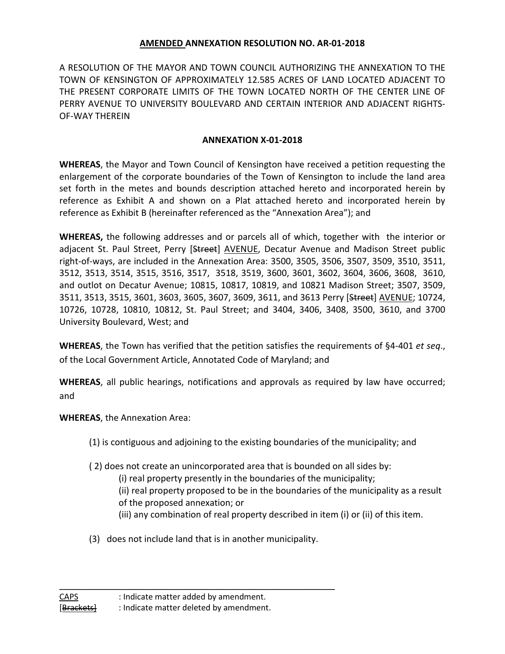#### AMENDED ANNEXATION RESOLUTION NO. AR-01-2018

A RESOLUTION OF THE MAYOR AND TOWN COUNCIL AUTHORIZING THE ANNEXATION TO THE TOWN OF KENSINGTON OF APPROXIMATELY 12.585 ACRES OF LAND LOCATED ADJACENT TO THE PRESENT CORPORATE LIMITS OF THE TOWN LOCATED NORTH OF THE CENTER LINE OF PERRY AVENUE TO UNIVERSITY BOULEVARD AND CERTAIN INTERIOR AND ADJACENT RIGHTS-OF-WAY THEREIN

#### ANNEXATION X-01-2018

WHEREAS, the Mayor and Town Council of Kensington have received a petition requesting the enlargement of the corporate boundaries of the Town of Kensington to include the land area set forth in the metes and bounds description attached hereto and incorporated herein by reference as Exhibit A and shown on a Plat attached hereto and incorporated herein by reference as Exhibit B (hereinafter referenced as the "Annexation Area"); and

WHEREAS, the following addresses and or parcels all of which, together with the interior or adjacent St. Paul Street, Perry [Street] AVENUE, Decatur Avenue and Madison Street public right-of-ways, are included in the Annexation Area: 3500, 3505, 3506, 3507, 3509, 3510, 3511, 3512, 3513, 3514, 3515, 3516, 3517, 3518, 3519, 3600, 3601, 3602, 3604, 3606, 3608, 3610, and outlot on Decatur Avenue; 10815, 10817, 10819, and 10821 Madison Street; 3507, 3509, 3511, 3513, 3515, 3601, 3603, 3605, 3607, 3609, 3611, and 3613 Perry [Street] AVENUE; 10724, 10726, 10728, 10810, 10812, St. Paul Street; and 3404, 3406, 3408, 3500, 3610, and 3700 University Boulevard, West; and

WHEREAS, the Town has verified that the petition satisfies the requirements of §4-401 *et seq.*, of the Local Government Article, Annotated Code of Maryland; and

WHEREAS, all public hearings, notifications and approvals as required by law have occurred; and

WHEREAS, the Annexation Area:

(1) is contiguous and adjoining to the existing boundaries of the municipality; and

( 2) does not create an unincorporated area that is bounded on all sides by:

(i) real property presently in the boundaries of the municipality;

(ii) real property proposed to be in the boundaries of the municipality as a result of the proposed annexation; or

- (iii) any combination of real property described in item (i) or (ii) of this item.
- (3) does not include land that is in another municipality.

\_\_\_\_\_\_\_\_\_\_\_\_\_\_\_\_\_\_\_\_\_\_\_\_\_\_\_\_\_\_\_\_\_\_\_\_\_\_\_\_\_\_\_\_\_\_\_\_\_\_\_\_\_\_\_\_\_\_\_\_\_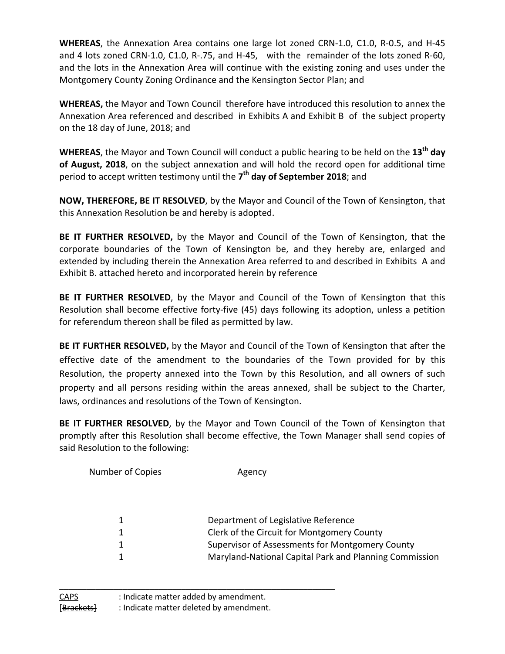WHEREAS, the Annexation Area contains one large lot zoned CRN-1.0, C1.0, R-0.5, and H-45 and 4 lots zoned CRN-1.0, C1.0, R-.75, and H-45, with the remainder of the lots zoned R-60, and the lots in the Annexation Area will continue with the existing zoning and uses under the Montgomery County Zoning Ordinance and the Kensington Sector Plan; and

WHEREAS, the Mayor and Town Council therefore have introduced this resolution to annex the Annexation Area referenced and described in Exhibits A and Exhibit B of the subject property on the 18 day of June, 2018; and

WHEREAS, the Mayor and Town Council will conduct a public hearing to be held on the 13<sup>th</sup> day of August, 2018, on the subject annexation and will hold the record open for additional time period to accept written testimony until the 7<sup>th</sup> day of September 2018; and

NOW, THEREFORE, BE IT RESOLVED, by the Mayor and Council of the Town of Kensington, that this Annexation Resolution be and hereby is adopted.

BE IT FURTHER RESOLVED, by the Mayor and Council of the Town of Kensington, that the corporate boundaries of the Town of Kensington be, and they hereby are, enlarged and extended by including therein the Annexation Area referred to and described in Exhibits A and Exhibit B. attached hereto and incorporated herein by reference

BE IT FURTHER RESOLVED, by the Mayor and Council of the Town of Kensington that this Resolution shall become effective forty-five (45) days following its adoption, unless a petition for referendum thereon shall be filed as permitted by law.

BE IT FURTHER RESOLVED, by the Mayor and Council of the Town of Kensington that after the effective date of the amendment to the boundaries of the Town provided for by this Resolution, the property annexed into the Town by this Resolution, and all owners of such property and all persons residing within the areas annexed, shall be subject to the Charter, laws, ordinances and resolutions of the Town of Kensington.

BE IT FURTHER RESOLVED, by the Mayor and Town Council of the Town of Kensington that promptly after this Resolution shall become effective, the Town Manager shall send copies of said Resolution to the following:

| Number of Copies | Agency                                                 |
|------------------|--------------------------------------------------------|
|                  |                                                        |
| 1                | Department of Legislative Reference                    |
| 1                | Clerk of the Circuit for Montgomery County             |
| 1                | Supervisor of Assessments for Montgomery County        |
| 1                | Maryland-National Capital Park and Planning Commission |

\_\_\_\_\_\_\_\_\_\_\_\_\_\_\_\_\_\_\_\_\_\_\_\_\_\_\_\_\_\_\_\_\_\_\_\_\_\_\_\_\_\_\_\_\_\_\_\_\_\_\_\_\_\_\_\_\_\_\_\_\_